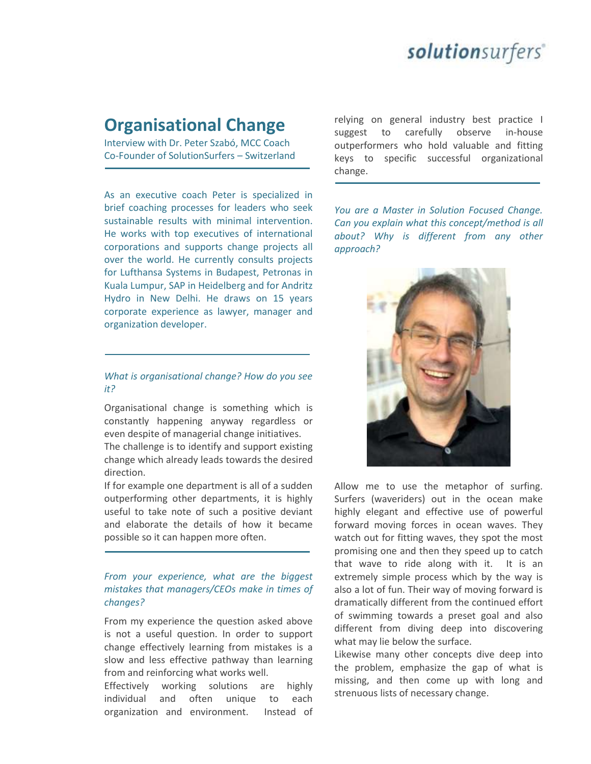## solutionsurfers<sup>®</sup>

### **Organisational Change**

Interview with Dr. Peter Szabó, MCC Coach Co-Founder of SolutionSurfers – Switzerland

As an executive coach Peter is specialized in brief coaching processes for leaders who seek sustainable results with minimal intervention. He works with top executives of international corporations and supports change projects all over the world. He currently consults projects for Lufthansa Systems in Budapest, Petronas in Kuala Lumpur, SAP in Heidelberg and for Andritz Hydro in New Delhi. He draws on 15 years corporate experience as lawyer, manager and organization developer.

#### *What is organisational change? How do you see it?*

Organisational change is something which is constantly happening anyway regardless or even despite of managerial change initiatives.

The challenge is to identify and support existing change which already leads towards the desired direction.

If for example one department is all of a sudden outperforming other departments, it is highly useful to take note of such a positive deviant and elaborate the details of how it became possible so it can happen more often.

#### *From your experience, what are the biggest mistakes that managers/CEOs make in times of changes?*

From my experience the question asked above is not a useful question. In order to support change effectively learning from mistakes is a slow and less effective pathway than learning from and reinforcing what works well.

Effectively working solutions are highly individual and often unique to each organization and environment. Instead of relying on general industry best practice I suggest to carefully observe in-house outperformers who hold valuable and fitting keys to specific successful organizational change.

*You are a Master in Solution Focused Change. Can you explain what this concept/method is all about? Why is different from any other approach?*



Allow me to use the metaphor of surfing. Surfers (waveriders) out in the ocean make highly elegant and effective use of powerful forward moving forces in ocean waves. They watch out for fitting waves, they spot the most promising one and then they speed up to catch that wave to ride along with it. It is an extremely simple process which by the way is also a lot of fun. Their way of moving forward is dramatically different from the continued effort of swimming towards a preset goal and also different from diving deep into discovering what may lie below the surface.

Likewise many other concepts dive deep into the problem, emphasize the gap of what is missing, and then come up with long and strenuous lists of necessary change.